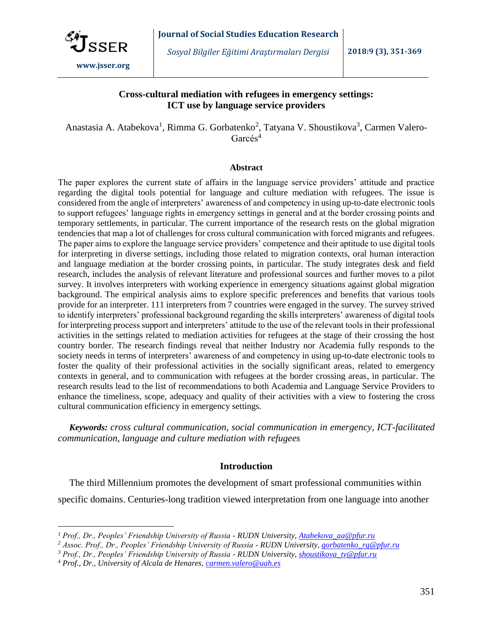

# **Cross-cultural mediation with refugees in emergency settings: ICT use by language service providers**

Anastasia A. Atabekova<sup>1</sup>, Rimma G. Gorbatenko<sup>2</sup>, Tatyana V. Shoustikova<sup>3</sup>, Carmen Valero-Garcés<sup>4</sup>

#### **Abstract**

The paper explores the current state of affairs in the language service providers' attitude and practice regarding the digital tools potential for language and culture mediation with refugees. The issue is considered from the angle of interpreters' awareness of and competency in using up-to-date electronic tools to support refugees' language rights in emergency settings in general and at the border crossing points and temporary settlements, in particular. The current importance of the research rests on the global migration tendencies that map a lot of challenges for cross cultural communication with forced migrants and refugees. The paper aims to explore the language service providers' competence and their aptitude to use digital tools for interpreting in diverse settings, including those related to migration contexts, oral human interaction and language mediation at the border crossing points, in particular. The study integrates desk and field research, includes the analysis of relevant literature and professional sources and further moves to a pilot survey. It involves interpreters with working experience in emergency situations against global migration background. The empirical analysis aims to explore specific preferences and benefits that various tools provide for an interpreter. 111 interpreters from 7 countries were engaged in the survey. The survey strived to identify interpreters' professional background regarding the skills interpreters' awareness of digital tools for interpreting process support and interpreters' attitude to the use of the relevant tools in their professional activities in the settings related to mediation activities for refugees at the stage of their crossing the host country border. The research findings reveal that neither Industry nor Academia fully responds to the society needs in terms of interpreters' awareness of and competency in using up-to-date electronic tools to foster the quality of their professional activities in the socially significant areas, related to emergency contexts in general, and to communication with refugees at the border crossing areas, in particular. The research results lead to the list of recommendations to both Academia and Language Service Providers to enhance the timeliness, scope, adequacy and quality of their activities with a view to fostering the cross cultural communication efficiency in emergency settings.

*Keywords: cross cultural communication, social communication in emergency, ICT-facilitated communication, language and culture mediation with refugees*

# **Introduction**

The third Millennium promotes the development of smart professional communities within specific domains. Centuries-long tradition viewed interpretation from one language into another

 $\overline{a}$ 

*<sup>1</sup> Prof., Dr., Peoples' Friendship University of Russia - RUDN University, [Atabekova\\_aa@pfur.ru](mailto:Atabekova_aa@pfur.ru)*

*<sup>2</sup> Assoc. Prof., Dr., Peoples' Friendship University of Russia - RUDN University, [gorbatenko\\_rg@pfur.ru](mailto:gorbatenko_rg@pfur.ru)*

*<sup>3</sup> Prof., Dr., Peoples' Friendship University of Russia - RUDN University, [shoustikova\\_tv@pfur.ru](mailto:shoustikova_tv@pfur.ru)*

*<sup>4</sup> Prof., Dr., University of Alcala de Henares, [carmen.valero@uah.es](mailto:carmen.valero@uah.es)*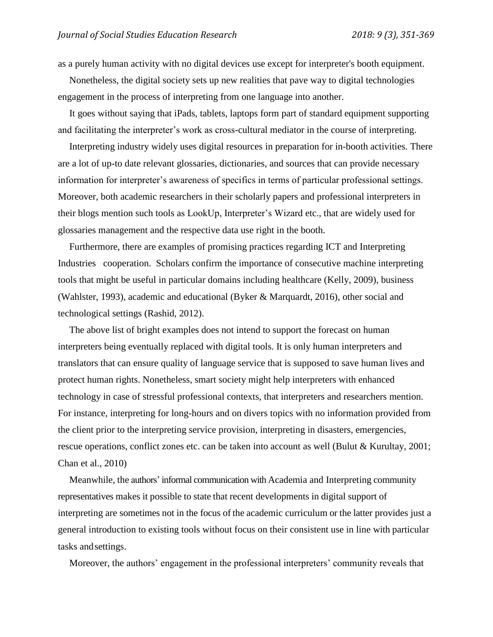as a purely human activity with no digital devices use except for interpreter's booth equipment.

Nonetheless, the digital society sets up new realities that pave way to digital technologies engagement in the process of interpreting from one language into another.

It goes without saying that iPads, tablets, laptops form part of standard equipment supporting and facilitating the interpreter's work as cross-cultural mediator in the course of interpreting.

Interpreting industry widely uses digital resources in preparation for in-booth activities. There are a lot of up-to date relevant glossaries, dictionaries, and sources that can provide necessary information for interpreter's awareness of specifics in terms of particular professional settings. Moreover, both academic researchers in their scholarly papers and professional interpreters in their blogs mention such tools as LookUp, Interpreter's Wizard etc., that are widely used for glossaries management and the respective data use right in the booth.

Furthermore, there are examples of promising practices regarding ICT and Interpreting Industries cooperation. Scholars confirm the importance of consecutive machine interpreting tools that might be useful in particular domains including healthcare (Kelly, 2009), business (Wahlster, 1993), academic and educational (Byker & Marquardt, 2016), other social and technological settings (Rashid, 2012).

The above list of bright examples does not intend to support the forecast on human interpreters being eventually replaced with digital tools. It is only human interpreters and translators that can ensure quality of language service that is supposed to save human lives and protect human rights. Nonetheless, smart society might help interpreters with enhanced technology in case of stressful professional contexts, that interpreters and researchers mention. For instance, interpreting for long-hours and on divers topics with no information provided from the client prior to the interpreting service provision, interpreting in disasters, emergencies, rescue operations, conflict zones etc. can be taken into account as well (Bulut & Kurultay, 2001; Chan et al., 2010)

Meanwhile, the authors' informal communication with Academia and Interpreting community representatives makes it possible to state that recent developments in digital support of interpreting are sometimes not in the focus of the academic curriculum or the latter provides just a general introduction to existing tools without focus on their consistent use in line with particular tasks andsettings.

Moreover, the authors' engagement in the professional interpreters' community reveals that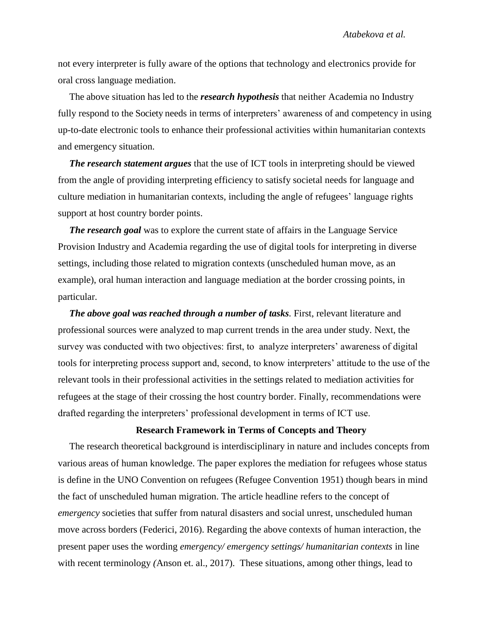not every interpreter is fully aware of the options that technology and electronics provide for oral cross language mediation.

The above situation has led to the *research hypothesis* that neither Academia no Industry fully respond to the Society needs in terms of interpreters' awareness of and competency in using up-to-date electronic tools to enhance their professional activities within humanitarian contexts and emergency situation.

*The research statement argues* that the use of ICT tools in interpreting should be viewed from the angle of providing interpreting efficiency to satisfy societal needs for language and culture mediation in humanitarian contexts, including the angle of refugees' language rights support at host country border points.

*The research goal* was to explore the current state of affairs in the Language Service Provision Industry and Academia regarding the use of digital tools for interpreting in diverse settings, including those related to migration contexts (unscheduled human move, as an example), oral human interaction and language mediation at the border crossing points, in particular.

*The above goal was reached through a number of tasks. First, relevant literature and* professional sources were analyzed to map current trends in the area under study. Next, the survey was conducted with two objectives: first, to analyze interpreters' awareness of digital tools for interpreting process support and, second, to know interpreters' attitude to the use of the relevant tools in their professional activities in the settings related to mediation activities for refugees at the stage of their crossing the host country border. Finally, recommendations were drafted regarding the interpreters' professional development in terms of ICT use.

### **Research Framework in Terms of Concepts and Theory**

The research theoretical background is interdisciplinary in nature and includes concepts from various areas of human knowledge. The paper explores the mediation for refugees whose status is define in the UNO Convention on refugees (Refugee Convention 1951) though bears in mind the fact of unscheduled human migration. The article headline refers to the concept of *emergency* societies that suffer from natural disasters and social unrest, unscheduled human move across borders (Federici, 2016). Regarding the above contexts of human interaction, the present paper uses the wording *emergency/ emergency settings/ humanitarian contexts* in line with recent terminology *(*Anson et. al., 2017). These situations, among other things, lead to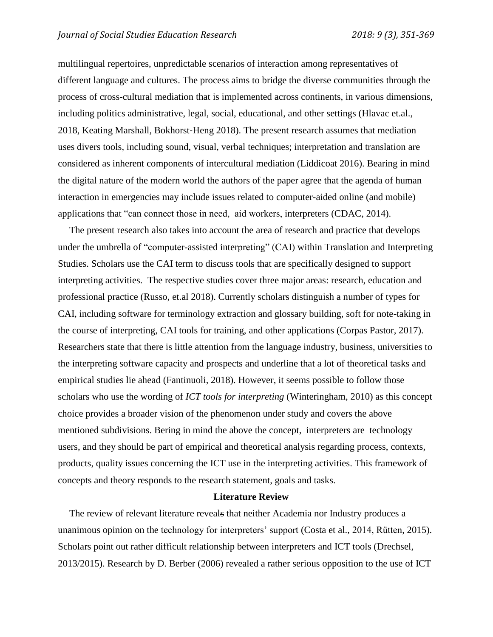multilingual repertoires, unpredictable scenarios of interaction among representatives of different language and cultures. The process aims to bridge the diverse communities through the process of cross-cultural mediation that is implemented across continents, in various dimensions, including politics administrative, legal, social, educational, and other settings (Hlavac et.al., 2018, Keating Marshall, Bokhorst‐Heng 2018). The present research assumes that mediation uses divers tools, including sound, visual, verbal techniques; interpretation and translation are considered as inherent components of intercultural mediation (Liddicoat 2016). Bearing in mind the digital nature of the modern world the authors of the paper agree that the agenda of human interaction in emergencies may include issues related to computer-aided online (and mobile) applications that "can connect those in need, aid workers, interpreters (CDAC, 2014).

The present research also takes into account the area of research and practice that develops under the umbrella of "computer-assisted interpreting" (CAI) within Translation and Interpreting Studies. Scholars use the CAI term to discuss tools that are specifically designed to support interpreting activities. The respective studies cover three major areas: research, education and professional practice (Russo, et.al 2018). Currently scholars distinguish a number of types for CAI, including software for terminology extraction and glossary building, soft for note-taking in the course of interpreting, CAI tools for training, and other applications (Corpas Pastor, 2017). Researchers state that there is little attention from the language industry, business, universities to the interpreting software capacity and prospects and underline that a lot of theoretical tasks and empirical studies lie ahead (Fantinuoli, 2018). However, it seems possible to follow those scholars who use the wording of *ICT tools for interpreting* (Winteringham, 2010) as this concept choice provides a broader vision of the phenomenon under study and covers the above mentioned subdivisions. Bering in mind the above the concept, interpreters are technology users, and they should be part of empirical and theoretical analysis regarding process, contexts, products, quality issues concerning the ICT use in the interpreting activities. This framework of concepts and theory responds to the research statement, goals and tasks.

### **Literature Review**

The review of relevant literature reveals that neither Academia nor Industry produces a unanimous opinion on the technology for interpreters' support (Costa et al., 2014, Rütten, 2015). Scholars point out rather difficult relationship between interpreters and ICT tools (Drechsel, 2013/2015). Research by D. Berber (2006) revealed a rather serious opposition to the use of ICT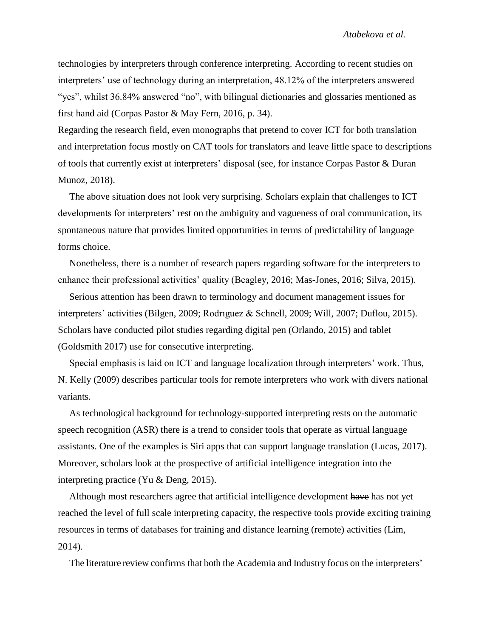technologies by interpreters through conference interpreting. According to recent studies on interpreters' use of technology during an interpretation, 48.12% of the interpreters answered "yes", whilst 36.84% answered "no", with bilingual dictionaries and glossaries mentioned as first hand aid (Corpas Pastor & May Fern, 2016, p. 34).

Regarding the research field, even monographs that pretend to cover ICT for both translation and interpretation focus mostly on CAT tools for translators and leave little space to descriptions of tools that currently exist at interpreters' disposal (see, for instance Corpas Pastor & Duran Munoz, 2018).

The above situation does not look very surprising. Scholars explain that challenges to ICT developments for interpreters' rest on the ambiguity and vagueness of oral communication, its spontaneous nature that provides limited opportunities in terms of predictability of language forms choice.

Nonetheless, there is a number of research papers regarding software for the interpreters to enhance their professional activities' quality (Beagley, 2016; Mas-Jones, 2016; Silva, 2015).

Serious attention has been drawn to terminology and document management issues for interpreters' activities (Bilgen, 2009; Rodrıguez & Schnell, 2009; Will, 2007; Duflou, 2015). Scholars have conducted pilot studies regarding digital pen (Orlando, 2015) and tablet (Goldsmith 2017) use for consecutive interpreting.

Special emphasis is laid on ICT and language localization through interpreters' work. Thus, N. Kelly (2009) describes particular tools for remote interpreters who work with divers national variants.

As technological background for technology-supported interpreting rests on the automatic speech recognition (ASR) there is a trend to consider tools that operate as virtual language assistants. One of the examples is Siri apps that can support language translation (Lucas, 2017). Moreover, scholars look at the prospective of artificial intelligence integration into the interpreting practice (Yu & Deng, 2015).

Although most researchers agree that artificial intelligence development have has not yet reached the level of full scale interpreting capacity, the respective tools provide exciting training resources in terms of databases for training and distance learning (remote) activities (Lim, 2014).

The literature review confirms that both the Academia and Industry focus on the interpreters'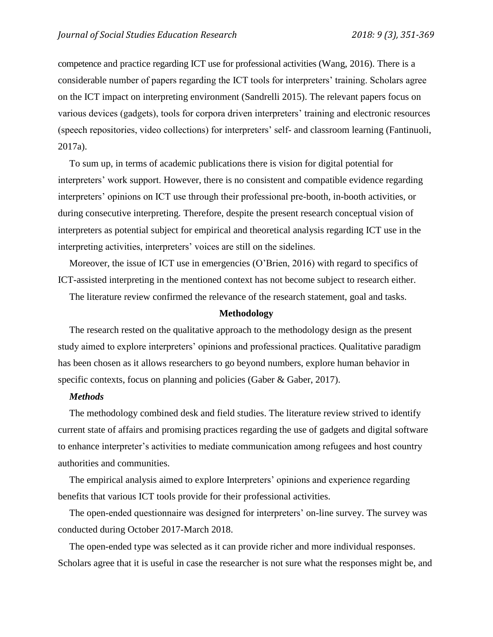competence and practice regarding ICT use for professional activities (Wang, 2016). There is a considerable number of papers regarding the ICT tools for interpreters' training. Scholars agree on the ICT impact on interpreting environment (Sandrelli 2015). The relevant papers focus on various devices (gadgets), tools for corpora driven interpreters' training and electronic resources (speech repositories, video collections) for interpreters' self- and classroom learning (Fantinuoli, 2017a).

To sum up, in terms of academic publications there is vision for digital potential for interpreters' work support. However, there is no consistent and compatible evidence regarding interpreters' opinions on ICT use through their professional pre-booth, in-booth activities, or during consecutive interpreting. Therefore, despite the present research conceptual vision of interpreters as potential subject for empirical and theoretical analysis regarding ICT use in the interpreting activities, interpreters' voices are still on the sidelines.

Moreover, the issue of ICT use in emergencies (O'Brien, 2016) with regard to specifics of ICT-assisted interpreting in the mentioned context has not become subject to research either.

The literature review confirmed the relevance of the research statement, goal and tasks.

### **Methodology**

The research rested on the qualitative approach to the methodology design as the present study aimed to explore interpreters' opinions and professional practices. Qualitative paradigm has been chosen as it allows researchers to go beyond numbers, explore human behavior in specific contexts, focus on planning and policies (Gaber & Gaber, 2017).

# *Methods*

The methodology combined desk and field studies. The literature review strived to identify current state of affairs and promising practices regarding the use of gadgets and digital software to enhance interpreter's activities to mediate communication among refugees and host country authorities and communities.

The empirical analysis aimed to explore Interpreters' opinions and experience regarding benefits that various ICT tools provide for their professional activities.

The open-ended questionnaire was designed for interpreters' on-line survey. The survey was conducted during October 2017-March 2018.

The open-ended type was selected as it can provide richer and more individual responses. Scholars agree that it is useful in case the researcher is not sure what the responses might be, and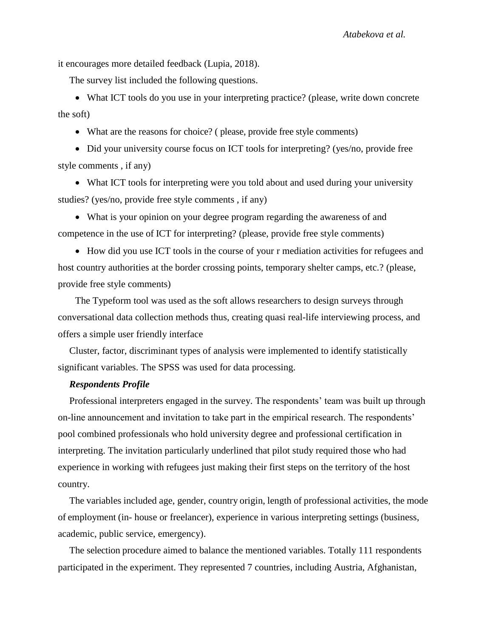it encourages more detailed feedback (Lupia, 2018).

The survey list included the following questions.

 What ICT tools do you use in your interpreting practice? (please, write down concrete the soft)

What are the reasons for choice? ( please, provide free style comments)

• Did your university course focus on ICT tools for interpreting? (yes/no, provide free style comments , if any)

 What ICT tools for interpreting were you told about and used during your university studies? (yes/no, provide free style comments , if any)

 What is your opinion on your degree program regarding the awareness of and competence in the use of ICT for interpreting? (please, provide free style comments)

• How did you use ICT tools in the course of your r mediation activities for refugees and host country authorities at the border crossing points, temporary shelter camps, etc.? (please, provide free style comments)

The Typeform tool was used as the soft allows researchers to design surveys through conversational data collection methods thus, creating quasi real-life interviewing process, and offers a simple user friendly interface

Cluster, factor, discriminant types of analysis were implemented to identify statistically significant variables. The SPSS was used for data processing.

# *Respondents Profile*

Professional interpreters engaged in the survey. The respondents' team was built up through on-line announcement and invitation to take part in the empirical research. The respondents' pool combined professionals who hold university degree and professional certification in interpreting. The invitation particularly underlined that pilot study required those who had experience in working with refugees just making their first steps on the territory of the host country.

The variables included age, gender, country origin, length of professional activities, the mode of employment (in- house or freelancer), experience in various interpreting settings (business, academic, public service, emergency).

The selection procedure aimed to balance the mentioned variables. Totally 111 respondents participated in the experiment. They represented 7 countries, including Austria, Afghanistan,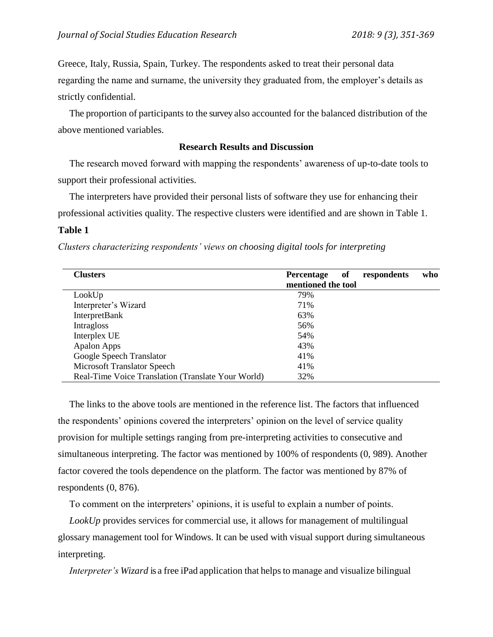Greece, Italy, Russia, Spain, Turkey. The respondents asked to treat their personal data regarding the name and surname, the university they graduated from, the employer's details as strictly confidential.

The proportion of participants to the survey also accounted for the balanced distribution of the above mentioned variables.

# **Research Results and Discussion**

The research moved forward with mapping the respondents' awareness of up-to-date tools to support their professional activities.

The interpreters have provided their personal lists of software they use for enhancing their professional activities quality. The respective clusters were identified and are shown in Table 1.

# **Table 1**

*Clusters characterizing respondents' views on choosing digital tools for interpreting*

| <b>Clusters</b>                                    | of<br>respondents<br>who<br><b>Percentage</b><br>mentioned the tool |
|----------------------------------------------------|---------------------------------------------------------------------|
| LookUp                                             | 79%                                                                 |
| Interpreter's Wizard                               | 71%                                                                 |
| <b>InterpretBank</b>                               | 63%                                                                 |
| Intragloss                                         | 56%                                                                 |
| Interplex UE                                       | 54%                                                                 |
| <b>Apalon Apps</b>                                 | 43%                                                                 |
| Google Speech Translator                           | 41%                                                                 |
| Microsoft Translator Speech                        | 41%                                                                 |
| Real-Time Voice Translation (Translate Your World) | 32%                                                                 |

The links to the above tools are mentioned in the reference list. The factors that influenced the respondents' opinions covered the interpreters' opinion on the level of service quality provision for multiple settings ranging from pre-interpreting activities to consecutive and simultaneous interpreting. The factor was mentioned by 100% of respondents (0, 989). Another factor covered the tools dependence on the platform. The factor was mentioned by 87% of respondents (0, 876).

To comment on the interpreters' opinions, it is useful to explain a number of points.

*LookUp* provides services for commercial use, it allows for management of multilingual glossary management tool for Windows. It can be used with visual support during simultaneous interpreting.

*Interpreter's Wizard* is a free iPad application that helps to manage and visualize bilingual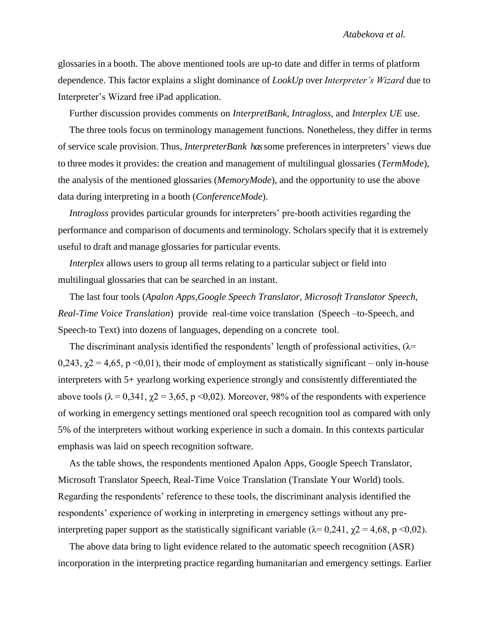glossariesin a booth. The above mentioned tools are up-to date and differ in terms of platform dependence. This factor explains a slight dominance of *LookUp* over *Interpreter's Wizard* due to Interpreter's Wizard free iPad application.

Further discussion provides comments on *InterpretBank, Intragloss*, and *Interplex UE* use.

The three tools focus on terminology management functions. Nonetheless, they differ in terms of service scale provision. Thus, *InterpreterBank has*some preferences in interpreters' views due to three modes it provides: the creation and management of multilingual glossaries (*TermMod*e), the analysis of the mentioned glossaries (*MemoryMode*), and the opportunity to use the above data during interpreting in a booth (*ConferenceMode*).

*Intragloss* provides particular grounds for interpreters' pre-booth activities regarding the performance and comparison of documents and terminology. Scholars specify that it is extremely useful to draft and manage glossaries for particular events.

*Interplex* allows users to group all terms relating to a particular subject or field into multilingual glossaries that can be searched in an instant.

The last four tools (*Apalon Apps,Google Speech Translator, Microsoft Translator Speech, Real-Time Voice Translation*) provide real-time voice translation (Speech –to-Speech, and Speech-to Text) into dozens of languages, depending on a concrete tool.

The discriminant analysis identified the respondents' length of professional activities,  $(\lambda =$ 0,243,  $\gamma$ 2 = 4,65, p <0,01), their mode of employment as statistically significant – only in-house interpreters with 5+ yearlong working experience strongly and consistently differentiated the above tools ( $\lambda = 0.341$ ,  $\chi$ 2 = 3,65, p <0,02). Moreover, 98% of the respondents with experience of working in emergency settings mentioned oral speech recognition tool as compared with only 5% of the interpreters without working experience in such a domain. In this contexts particular emphasis was laid on speech recognition software.

As the table shows, the respondents mentioned Apalon Apps, Google Speech Translator, Microsoft Translator Speech, Real-Time Voice Translation (Translate Your World) tools. Regarding the respondents' reference to these tools, the discriminant analysis identified the respondents' experience of working in interpreting in emergency settings without any preinterpreting paper support as the statistically significant variable ( $\lambda$ = 0,241,  $\gamma$ 2 = 4,68, p <0,02).

The above data bring to light evidence related to the automatic speech recognition (ASR) incorporation in the interpreting practice regarding humanitarian and emergency settings. Earlier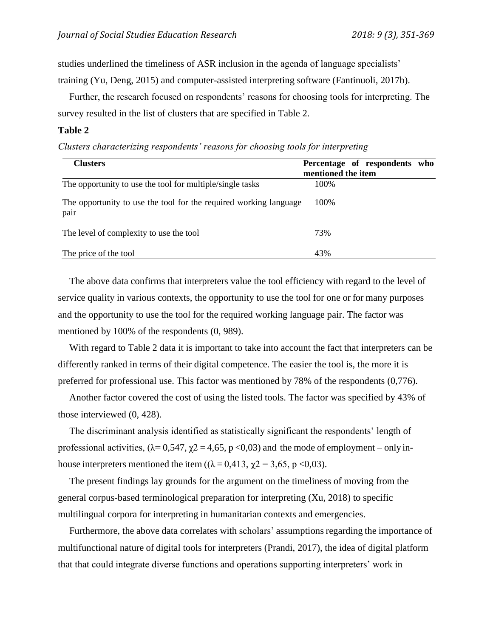studies underlined the timeliness of ASR inclusion in the agenda of language specialists' training (Yu, Deng, 2015) and computer-assisted interpreting software (Fantinuoli, 2017b).

Further, the research focused on respondents' reasons for choosing tools for interpreting. The survey resulted in the list of clusters that are specified in Table 2.

### **Table 2**

*Clusters characterizing respondents' reasons for choosing tools for interpreting*

| <b>Clusters</b>                                                           | Percentage of respondents who<br>mentioned the item |
|---------------------------------------------------------------------------|-----------------------------------------------------|
| The opportunity to use the tool for multiple/single tasks                 | 100%                                                |
| The opportunity to use the tool for the required working language<br>pair | 100\%                                               |
| The level of complexity to use the tool                                   | 73%                                                 |
| The price of the tool                                                     | 43%                                                 |

The above data confirms that interpreters value the tool efficiency with regard to the level of service quality in various contexts, the opportunity to use the tool for one or for many purposes and the opportunity to use the tool for the required working language pair. The factor was mentioned by 100% of the respondents (0, 989).

With regard to Table 2 data it is important to take into account the fact that interpreters can be differently ranked in terms of their digital competence. The easier the tool is, the more it is preferred for professional use. This factor was mentioned by 78% of the respondents (0,776).

Another factor covered the cost of using the listed tools. The factor was specified by 43% of those interviewed (0, 428).

The discriminant analysis identified as statistically significant the respondents' length of professional activities,  $(\lambda = 0.547, \gamma = 4.65, p < 0.03)$  and the mode of employment – only inhouse interpreters mentioned the item ( $(\lambda = 0.413, \gamma = 3.65, \gamma < 0.03)$ ).

The present findings lay grounds for the argument on the timeliness of moving from the general corpus-based terminological preparation for interpreting (Xu, 2018) to specific multilingual corpora for interpreting in humanitarian contexts and emergencies.

Furthermore, the above data correlates with scholars' assumptions regarding the importance of multifunctional nature of digital tools for interpreters (Prandi, 2017), the idea of digital platform that that could integrate diverse functions and operations supporting interpreters' work in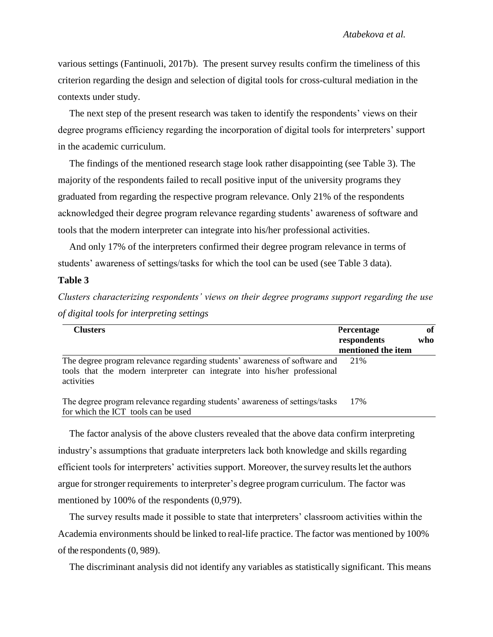various settings (Fantinuoli, 2017b). The present survey results confirm the timeliness of this criterion regarding the design and selection of digital tools for cross-cultural mediation in the contexts under study.

The next step of the present research was taken to identify the respondents' views on their degree programs efficiency regarding the incorporation of digital tools for interpreters' support in the academic curriculum.

The findings of the mentioned research stage look rather disappointing (see Table 3). The majority of the respondents failed to recall positive input of the university programs they graduated from regarding the respective program relevance. Only 21% of the respondents acknowledged their degree program relevance regarding students' awareness of software and tools that the modern interpreter can integrate into his/her professional activities.

And only 17% of the interpreters confirmed their degree program relevance in terms of students' awareness of settings/tasks for which the tool can be used (see Table 3 data).

# **Table 3**

*Clusters characterizing respondents' views on their degree programs support regarding the use of digital tools for interpreting settings*

| <b>Clusters</b>                                                                                                                                                       | <b>Percentage</b><br>respondents<br>mentioned the item | of<br>who |
|-----------------------------------------------------------------------------------------------------------------------------------------------------------------------|--------------------------------------------------------|-----------|
| The degree program relevance regarding students' awareness of software and<br>tools that the modern interpreter can integrate into his/her professional<br>activities | 21%                                                    |           |
| The degree program relevance regarding students' awareness of settings/tasks                                                                                          | 17%                                                    |           |

for which the ICT tools can be used

The factor analysis of the above clusters revealed that the above data confirm interpreting industry's assumptions that graduate interpreters lack both knowledge and skills regarding efficient tools for interpreters' activities support. Moreover, the survey resultslet the authors argue forstronger requirements to interpreter's degree program curriculum. The factor was mentioned by 100% of the respondents (0,979).

The survey results made it possible to state that interpreters' classroom activities within the Academia environments should be linked to real-life practice. The factor was mentioned by 100% of the respondents(0, 989).

The discriminant analysis did not identify any variables as statistically significant. This means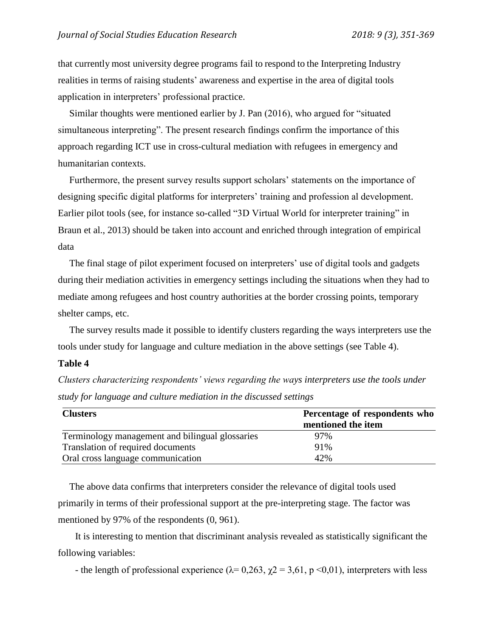that currently most university degree programs fail to respond to the Interpreting Industry realities in terms of raising students' awareness and expertise in the area of digital tools application in interpreters' professional practice.

Similar thoughts were mentioned earlier by J. Pan (2016), who argued for "situated simultaneous interpreting". The present research findings confirm the importance of this approach regarding ICT use in cross-cultural mediation with refugees in emergency and humanitarian contexts.

Furthermore, the present survey results support scholars' statements on the importance of designing specific digital platforms for interpreters' training and profession al development. Earlier pilot tools (see, for instance so-called "3D Virtual World for interpreter training" in Braun et al., 2013) should be taken into account and enriched through integration of empirical data

The final stage of pilot experiment focused on interpreters' use of digital tools and gadgets during their mediation activities in emergency settings including the situations when they had to mediate among refugees and host country authorities at the border crossing points, temporary shelter camps, etc.

The survey results made it possible to identify clusters regarding the ways interpreters use the tools under study for language and culture mediation in the above settings (see Table 4).

# **Table 4**

*Clusters characterizing respondents' views regarding the ways interpreters use the tools under study for language and culture mediation in the discussed settings*

| <b>Clusters</b>                                 | Percentage of respondents who |
|-------------------------------------------------|-------------------------------|
|                                                 | mentioned the item            |
| Terminology management and bilingual glossaries | 97%                           |
| Translation of required documents               | 91%                           |
| Oral cross language communication               | 42%                           |

The above data confirms that interpreters consider the relevance of digital tools used primarily in terms of their professional support at the pre-interpreting stage. The factor was mentioned by 97% of the respondents (0, 961).

It is interesting to mention that discriminant analysis revealed as statistically significant the following variables:

- the length of professional experience ( $\lambda$ = 0,263,  $\chi$ 2 = 3,61, p <0,01), interpreters with less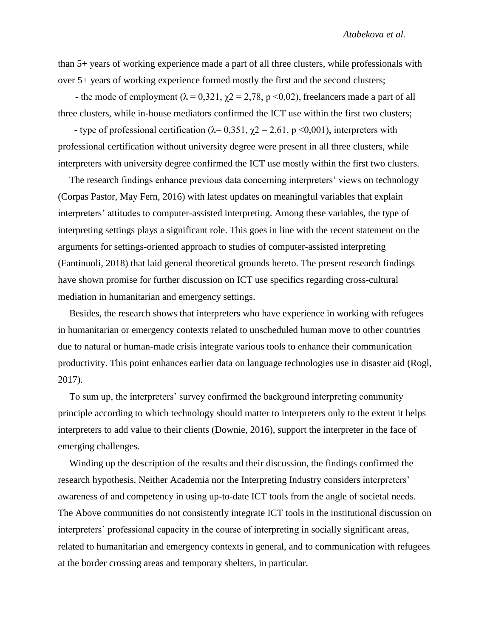than 5+ years of working experience made a part of all three clusters, while professionals with over 5+ years of working experience formed mostly the first and the second clusters;

- the mode of employment ( $\lambda = 0.321$ ,  $\gamma = 2.78$ , p < 0.02), freelancers made a part of all three clusters, while in-house mediators confirmed the ICT use within the first two clusters;

- type of professional certification ( $\lambda$ = 0,351,  $\chi$ 2 = 2,61, p < 0,001), interpreters with professional certification without university degree were present in all three clusters, while interpreters with university degree confirmed the ICT use mostly within the first two clusters.

The research findings enhance previous data concerning interpreters' views on technology (Corpas Pastor, May Fern, 2016) with latest updates on meaningful variables that explain interpreters' attitudes to computer-assisted interpreting. Among these variables, the type of interpreting settings plays a significant role. This goes in line with the recent statement on the arguments for settings-oriented approach to studies of computer-assisted interpreting (Fantinuoli, 2018) that laid general theoretical grounds hereto. The present research findings have shown promise for further discussion on ICT use specifics regarding cross-cultural mediation in humanitarian and emergency settings.

Besides, the research shows that interpreters who have experience in working with refugees in humanitarian or emergency contexts related to unscheduled human move to other countries due to natural or human-made crisis integrate various tools to enhance their communication productivity. This point enhances earlier data on language technologies use in disaster aid (Rogl, 2017).

To sum up, the interpreters' survey confirmed the background interpreting community principle according to which technology should matter to interpreters only to the extent it helps interpreters to add value to their clients (Downie, 2016), support the interpreter in the face of emerging challenges.

Winding up the description of the results and their discussion, the findings confirmed the research hypothesis. Neither Academia nor the Interpreting Industry considers interpreters' awareness of and competency in using up-to-date ICT tools from the angle of societal needs. The Above communities do not consistently integrate ICT tools in the institutional discussion on interpreters' professional capacity in the course of interpreting in socially significant areas, related to humanitarian and emergency contexts in general, and to communication with refugees at the border crossing areas and temporary shelters, in particular.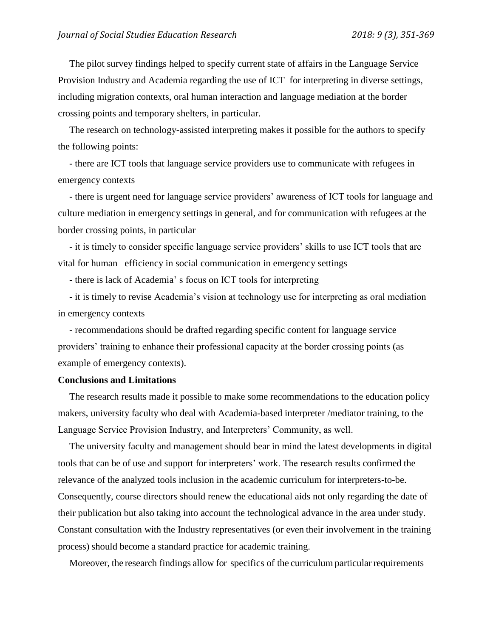The pilot survey findings helped to specify current state of affairs in the Language Service Provision Industry and Academia regarding the use of ICT for interpreting in diverse settings, including migration contexts, oral human interaction and language mediation at the border crossing points and temporary shelters, in particular.

The research on technology-assisted interpreting makes it possible for the authors to specify the following points:

- there are ICT tools that language service providers use to communicate with refugees in emergency contexts

- there is urgent need for language service providers' awareness of ICT tools for language and culture mediation in emergency settings in general, and for communication with refugees at the border crossing points, in particular

- it is timely to consider specific language service providers' skills to use ICT tools that are vital for human efficiency in social communication in emergency settings

- there is lack of Academia' s focus on ICT tools for interpreting

- it is timely to revise Academia's vision at technology use for interpreting as oral mediation in emergency contexts

- recommendations should be drafted regarding specific content for language service providers' training to enhance their professional capacity at the border crossing points (as example of emergency contexts).

### **Conclusions and Limitations**

The research results made it possible to make some recommendations to the education policy makers, university faculty who deal with Academia-based interpreter /mediator training, to the Language Service Provision Industry, and Interpreters' Community, as well.

The university faculty and management should bear in mind the latest developments in digital tools that can be of use and support for interpreters' work. The research results confirmed the relevance of the analyzed tools inclusion in the academic curriculum for interpreters-to-be. Consequently, course directors should renew the educational aids not only regarding the date of their publication but also taking into account the technological advance in the area under study. Constant consultation with the Industry representatives (or even their involvement in the training process) should become a standard practice for academic training.

Moreover, the research findings allow for specifics of the curriculum particular requirements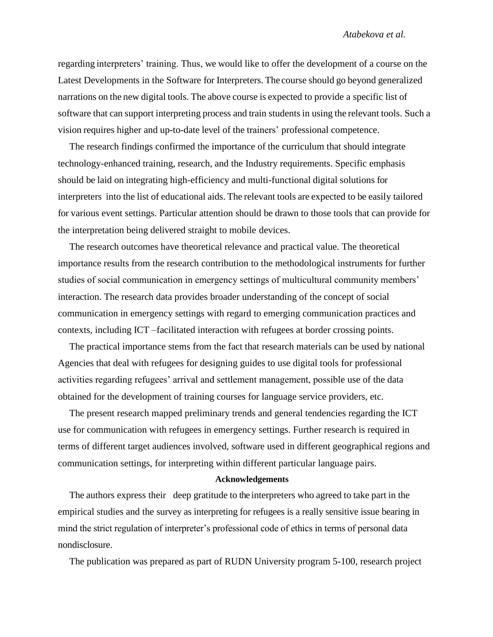regarding interpreters' training. Thus, we would like to offer the development of a course on the Latest Developments in the Software for Interpreters. The course should go beyond generalized narrations on the new digital tools. The above course is expected to provide a specific list of software that can support interpreting process and train studentsin using the relevant tools. Such a vision requires higher and up-to-date level of the trainers' professional competence.

The research findings confirmed the importance of the curriculum that should integrate technology-enhanced training, research, and the Industry requirements. Specific emphasis should be laid on integrating high-efficiency and multi-functional digital solutions for interpreters into the list of educational aids. The relevant tools are expected to be easily tailored for various event settings. Particular attention should be drawn to those tools that can provide for the interpretation being delivered straight to mobile devices.

The research outcomes have theoretical relevance and practical value. The theoretical importance results from the research contribution to the methodological instruments for further studies of social communication in emergency settings of multicultural community members' interaction. The research data provides broader understanding of the concept of social communication in emergency settings with regard to emerging communication practices and contexts, including ICT –facilitated interaction with refugees at border crossing points.

The practical importance stems from the fact that research materials can be used by national Agencies that deal with refugees for designing guides to use digital tools for professional activities regarding refugees' arrival and settlement management, possible use of the data obtained for the development of training courses for language service providers, etc.

The present research mapped preliminary trends and general tendencies regarding the ICT use for communication with refugees in emergency settings. Further research is required in terms of different target audiences involved, software used in different geographical regions and communication settings, for interpreting within different particular language pairs.

#### **Acknowledgements**

The authors express their deep gratitude to the interpreters who agreed to take part in the empirical studies and the survey as interpreting for refugees is a really sensitive issue bearing in mind the strict regulation of interpreter's professional code of ethics in terms of personal data nondisclosure.

The publication was prepared as part of RUDN University program 5-100, research project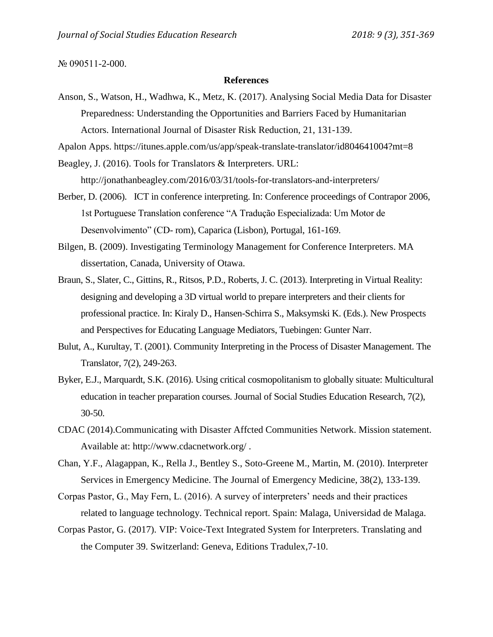#### № 090511-2-000.

### **References**

Anson, S., Watson, H., Wadhwa, K., Metz, K. (2017). Analysing Social Media Data for Disaster Preparedness: Understanding the Opportunities and Barriers Faced by Humanitarian Actors. International Journal of Disaster Risk Reduction, 21, 131-139.

Apalon Apps. https://itunes.apple.com/us/app/speak-translate-translator/id804641004?mt=8

Beagley, J. (2016). Tools for Translators & Interpreters. URL:

<http://jonathanbeagley.com/2016/03/31/tools-for-translators-and-interpreters/>

- Berber, D. (2006). ICT in conference interpreting. In: Conference proceedings of Contrapor 2006, 1st Portuguese Translation conference "A Tradução Especializada: Um Motor de Desenvolvimento" (CD- rom), Caparica (Lisbon), Portugal, 161-169.
- Bilgen, B. (2009). Investigating Terminology Management for Conference Interpreters. MA dissertation, Canada, University of Otawa.
- Braun, S., Slater, C., Gittins, R., Ritsos, P.D., Roberts, J. C. (2013). Interpreting in Virtual Reality: designing and developing a 3D virtual world to prepare interpreters and their clients for professional practice. In: Kiraly D., Hansen-Schirra S., Maksymski K. (Eds.). New Prospects and Perspectives for Educating Language Mediators, Tuebingen: Gunter Narr.
- Bulut, A., Kurultay, T. (2001). Community Interpreting in the Process of Disaster Management. The Translator, 7(2), 249-263.
- Byker, E.J., Marquardt, S.K. (2016). Using critical cosmopolitanism to globally situate: Multicultural education in teacher preparation courses. Journal of Social Studies Education Research, 7(2), 30-50.
- CDAC (2014).Communicating with Disaster Affcted Communities Network. Mission statement. Available at: http://www.cdacnetwork.org/ .
- Chan, Y.F., Alagappan, K., Rella J., Bentley S., Soto-Greene M., Martin, M. (2010). Interpreter Services in Emergency Medicine. The Journal of Emergency Medicine, 38(2), 133-139.
- Corpas Pastor, G., May Fern, L. (2016). A survey of interpreters' needs and their practices related to language technology. Technical report. Spain: Malaga, Universidad de Malaga.
- Corpas Pastor, G. (2017). VIP: Voice-Text Integrated System for Interpreters. Translating and the Computer 39. Switzerland: Geneva, Editions Tradulex,7-10.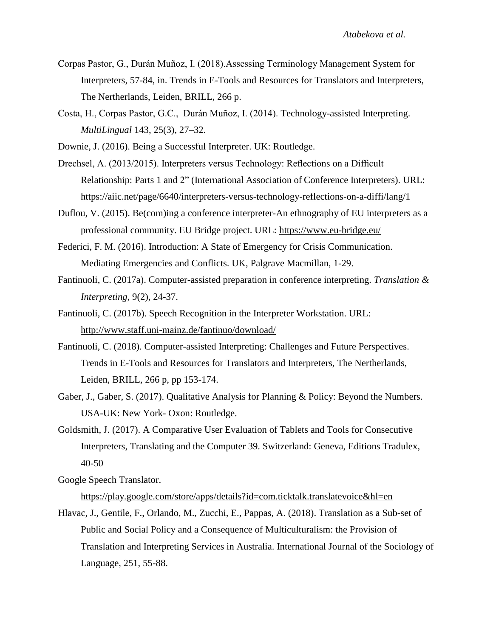- Corpas Pastor, G., Durán Muñoz, I. (2018).Assessing Terminology Management System for Interpreters, 57-84, in. Trends in E-Tools and Resources for Translators and Interpreters, The Nertherlands, Leiden, BRILL, 266 p.
- Costa, H., Corpas Pastor, G.C., Durán Muñoz, I. (2014). Technology-assisted Interpreting. *MultiLingual* 143, 25(3), 27–32.
- Downie, J. (2016). Being a Successful Interpreter. UK: Routledge.
- Drechsel, A. (2013/2015). Interpreters versus Technology: Reflections on a Difficult Relationship: Parts 1 and 2" (International Association of Conference Interpreters). URL: <https://aiic.net/page/6640/interpreters-versus-technology-reflections-on-a-diffi/lang/1>
- Duflou, V. (2015). Be(com)ing a conference interpreter-An ethnography of EU interpreters as a professional community. EU Bridge project. URL:<https://www.eu-bridge.eu/>
- Federici, F. M. (2016). Introduction: A State of Emergency for Crisis Communication. Mediating Emergencies and Conflicts. UK, Palgrave Macmillan, 1-29.
- Fantinuoli, C. (2017a). Computer-assisted preparation in conference interpreting. *Translation & Interpreting*, 9(2), 24-37.
- Fantinuoli, C. (2017b). Speech Recognition in the Interpreter Workstation. URL: <http://www.staff.uni-mainz.de/fantinuo/download/>
- Fantinuoli, C. (2018). Computer-assisted Interpreting: Challenges and Future Perspectives. Trends in E-Tools and Resources for Translators and Interpreters, The Nertherlands, Leiden, BRILL, 266 p, pp 153-174.
- Gaber, J., Gaber, S. (2017). Qualitative Analysis for Planning & Policy: Beyond the Numbers. USA-UK: New York- Oxon: Routledge.
- Goldsmith, J. (2017). A Comparative User Evaluation of Tablets and Tools for Consecutive Interpreters, Translating and the Computer 39. Switzerland: Geneva, Editions Tradulex, 40-50
- Google Speech Translator.

<https://play.google.com/store/apps/details?id=com.ticktalk.translatevoice&hl=en>

Hlavac, J., Gentile, F., Orlando, M., Zucchi, E., Pappas, A. (2018). Translation as a Sub-set of Public and Social Policy and a Consequence of Multiculturalism: the Provision of Translation and Interpreting Services in Australia. International Journal of the Sociology of Language, 251, 55-88.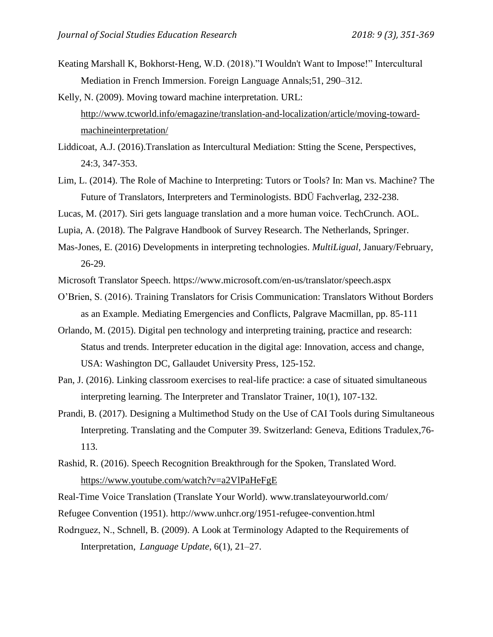- Keating Marshall K, Bokhorst-Heng, W.D. (2018)."I Wouldn't Want to Impose!" Intercultural Mediation in French Immersion. Foreign Language Annals;51, 290–312.
- Kelly, N. (2009). Moving toward machine interpretation. URL: [http://www.tcworld.info/emagazine/translation-and-localization/article/moving-toward](http://www.tcworld.info/emagazine/translation-and-localization/article/moving-toward-machineinterpretation/)[machineinterpretation/](http://www.tcworld.info/emagazine/translation-and-localization/article/moving-toward-machineinterpretation/)
- Liddicoat, A.J. (2016).Translation as Intercultural Mediation: Stting the Scene, Perspectives, 24:3, 347-353.
- Lim, L. (2014). The Role of Machine to Interpreting: Tutors or Tools? In: Man vs. Machine? The Future of Translators, Interpreters and Terminologists. BDÜ Fachverlag, 232-238.

Lucas, M. (2017). Siri gets language translation and a more human voice. TechCrunch. AOL.

- Lupia, A. (2018). The Palgrave Handbook of Survey Research. The Netherlands, Springer.
- Mas-Jones, E. (2016) Developments in interpreting technologies. *MultiLigual,* January/February, 26-29.
- Microsoft Translator Speech. https://www.microsoft.com/en-us/translator/speech.aspx
- O'Brien, S. (2016). Training Translators for Crisis Communication: Translators Without Borders as an Example. Mediating Emergencies and Conflicts, Palgrave Macmillan, pp. 85-111
- Orlando, M. (2015). Digital pen technology and interpreting training, practice and research: Status and trends. Interpreter education in the digital age: Innovation, access and change, USA: Washington DC, Gallaudet University Press, 125-152.
- Pan, J. (2016). Linking classroom exercises to real-life practice: a case of situated simultaneous interpreting learning. The Interpreter and Translator Trainer, 10(1), 107-132.
- Prandi, B. (2017). Designing a Multimethod Study on the Use of CAI Tools during Simultaneous Interpreting. Translating and the Computer 39. Switzerland: Geneva, Editions Tradulex,76- 113.
- Rashid, R. (2016). Speech Recognition Breakthrough for the Spoken, Translated Word. <https://www.youtube.com/watch?v=a2VlPaHeFgE>
- Real-Time Voice Translation (Translate Your World). www.translateyourworld.com/
- Refugee Convention (1951). http://www.unhcr.org/1951-refugee-convention.html
- Rodrıguez, N., Schnell, B. (2009). A Look at Terminology Adapted to the Requirements of Interpretation, *Language Update*, 6(1), 21–27.